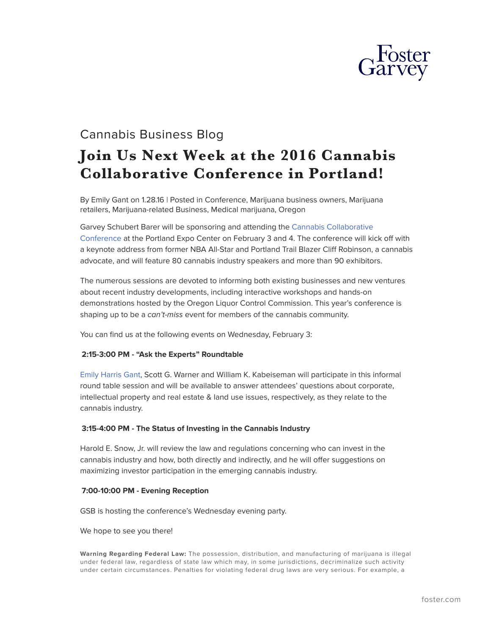

# Cannabis Business Blog

# **Join Us Next Week at the 2016 Cannabis Collaborative Conference in Portland!**

By Emily Gant on 1.28.16 | Posted in Conference, Marijuana business owners, Marijuana retailers, Marijuana-related Business, Medical marijuana, Oregon

Garvey Schubert Barer will be sponsoring and attending the [Cannabis Collaborative](https://ccc-con.com/) [Conference](https://ccc-con.com/) at the Portland Expo Center on February 3 and 4. The conference will kick off with a keynote address from former NBA All-Star and Portland Trail Blazer Cliff Robinson, a cannabis advocate, and will feature 80 cannabis industry speakers and more than 90 exhibitors.

The numerous sessions are devoted to informing both existing businesses and new ventures about recent industry developments, including interactive workshops and hands-on demonstrations hosted by the Oregon Liquor Control Commission. This year's conference is shaping up to be a *can't-miss* event for members of the cannabis community.

You can find us at the following events on Wednesday, February 3:

## **2:15-3:00 PM - "Ask the Experts" Roundtable**

[Emily Harris Gant](https://www.foster.com/people-emily-gant), Scott G. Warner and William K. Kabeiseman will participate in this informal round table session and will be available to answer attendees' questions about corporate, intellectual property and real estate & land use issues, respectively, as they relate to the cannabis industry.

### **3:15-4:00 PM - The Status of Investing in the Cannabis Industry**

Harold E. Snow, Jr. will review the law and regulations concerning who can invest in the cannabis industry and how, both directly and indirectly, and he will offer suggestions on maximizing investor participation in the emerging cannabis industry.

### **7:00-10:00 PM - Evening Reception**

GSB is hosting the conference's Wednesday evening party.

We hope to see you there!

**Warning Regarding Federal Law:** The possession, distribution, and manufacturing of marijuana is illegal under federal law, regardless of state law which may, in some jurisdictions, decriminalize such activity under certain circumstances. Penalties for violating federal drug laws are very serious. For example, a